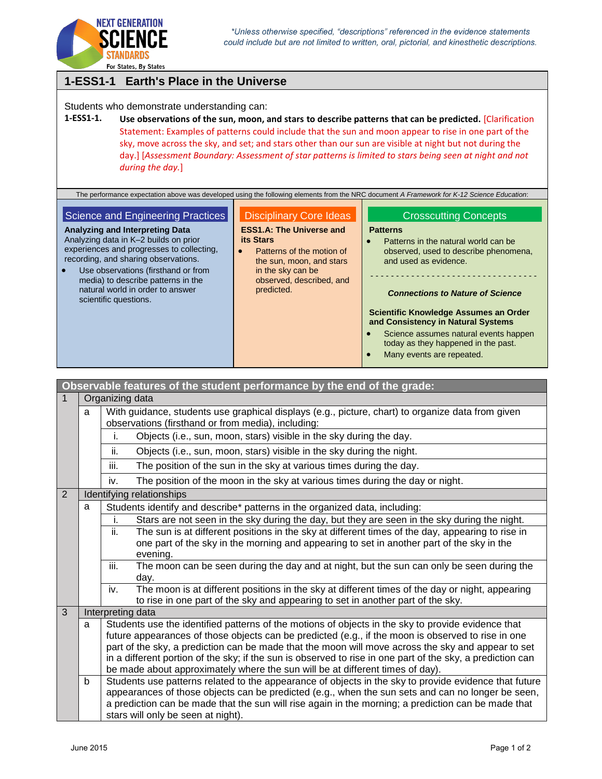

For States, By States

#### **1-ESS1-1 Earth's Place in the Universe** Students who demonstrate understanding can: **1-ESS1-1. Use observations of the sun, moon, and stars to describe patterns that can be predicted.** [Clarification Statement: Examples of patterns could include that the sun and moon appear to rise in one part of the sky, move across the sky, and set; and stars other than our sun are visible at night but not during the day.] [*Assessment Boundary: Assessment of star patterns is limited to stars being seen at night and not during the day.*] The performance expectation above was developed using the following elements from the NRC document *A Framework for K-12 Science Education*: Science and Engineering Practices **Analyzing and Interpreting Data** Analyzing data in K–2 builds on prior Disciplinary Core Ideas **ESS1.A: The Universe and its Stars** Crosscutting Concepts **Patterns** Patterns in the natural world can be

experiences and progresses to collecting, recording, and sharing observations.

 Use observations (firsthand or from media) to describe patterns in the natural world in order to answer scientific questions.

# • Patterns of the motion of

- the sun, moon, and stars in the sky can be observed, described, and predicted.
- observed, used to describe phenomena, and used as evidence.

- - - - - - - - - - - - - - - - - - - - - - - - - - - - - - - - -

#### *Connections to Nature of Science*

#### **Scientific Knowledge Assumes an Order and Consistency in Natural Systems**

- Science assumes natural events happen today as they happened in the past.
- Many events are repeated.

| Observable features of the student performance by the end of the grade: |                 |                                                                                                                                                                                                          |
|-------------------------------------------------------------------------|-----------------|----------------------------------------------------------------------------------------------------------------------------------------------------------------------------------------------------------|
| $\mathbf{1}$                                                            | Organizing data |                                                                                                                                                                                                          |
|                                                                         | a               | With guidance, students use graphical displays (e.g., picture, chart) to organize data from given<br>observations (firsthand or from media), including:                                                  |
|                                                                         |                 | Objects (i.e., sun, moon, stars) visible in the sky during the day.<br>İ.                                                                                                                                |
|                                                                         |                 | ii.<br>Objects (i.e., sun, moon, stars) visible in the sky during the night.                                                                                                                             |
|                                                                         |                 | The position of the sun in the sky at various times during the day.<br>iii.                                                                                                                              |
|                                                                         |                 | The position of the moon in the sky at various times during the day or night.<br>iv.                                                                                                                     |
| 2                                                                       |                 | Identifying relationships                                                                                                                                                                                |
|                                                                         | a               | Students identify and describe* patterns in the organized data, including:                                                                                                                               |
|                                                                         |                 | Stars are not seen in the sky during the day, but they are seen in the sky during the night.                                                                                                             |
|                                                                         |                 | The sun is at different positions in the sky at different times of the day, appearing to rise in<br>ii.                                                                                                  |
|                                                                         |                 | one part of the sky in the morning and appearing to set in another part of the sky in the                                                                                                                |
|                                                                         |                 | evening.                                                                                                                                                                                                 |
|                                                                         |                 | iii.<br>The moon can be seen during the day and at night, but the sun can only be seen during the<br>day.                                                                                                |
|                                                                         |                 | The moon is at different positions in the sky at different times of the day or night, appearing<br>iv.<br>to rise in one part of the sky and appearing to set in another part of the sky.                |
| 3                                                                       |                 | Interpreting data                                                                                                                                                                                        |
|                                                                         | a               | Students use the identified patterns of the motions of objects in the sky to provide evidence that<br>future appearances of those objects can be predicted (e.g., if the moon is observed to rise in one |
|                                                                         |                 | part of the sky, a prediction can be made that the moon will move across the sky and appear to set                                                                                                       |
|                                                                         |                 | in a different portion of the sky; if the sun is observed to rise in one part of the sky, a prediction can                                                                                               |
|                                                                         |                 | be made about approximately where the sun will be at different times of day).                                                                                                                            |
|                                                                         | b               | Students use patterns related to the appearance of objects in the sky to provide evidence that future                                                                                                    |
|                                                                         |                 | appearances of those objects can be predicted (e.g., when the sun sets and can no longer be seen,                                                                                                        |
|                                                                         |                 | a prediction can be made that the sun will rise again in the morning; a prediction can be made that                                                                                                      |
|                                                                         |                 | stars will only be seen at night).                                                                                                                                                                       |